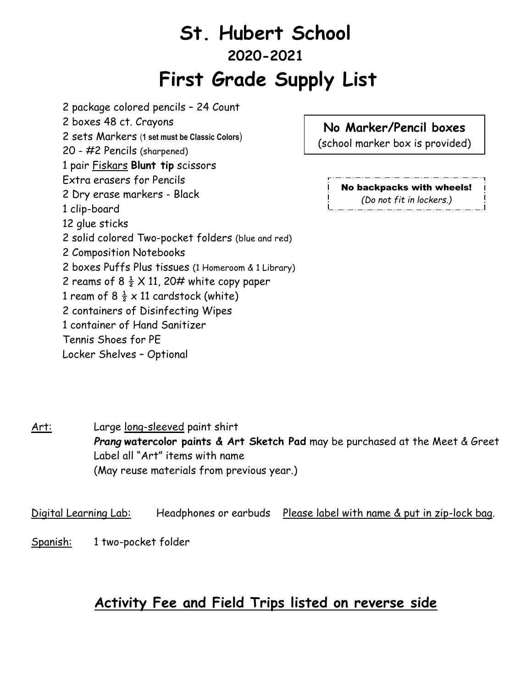## **St. Hubert School 2020-2021 First Grade Supply List**

2 package colored pencils – 24 Count 2 boxes 48 ct. Crayons 2 sets Markers (**1 set must be Classic Colors**) 20 - #2 Pencils (sharpened) 1 pair Fiskars **Blunt tip** scissors Extra erasers for Pencils 2 Dry erase markers - Black 1 clip-board 12 glue sticks 2 solid colored Two-pocket folders (blue and red) 2 Composition Notebooks 2 boxes Puffs Plus tissues (1 Homeroom & 1 Library) 2 reams of 8  $\frac{1}{2}$  X 11, 20# white copy paper 1 ream of 8  $\frac{1}{2} \times 11$  cardstock (white) 2 containers of Disinfecting Wipes 1 container of Hand Sanitizer Tennis Shoes for PE Locker Shelves – Optional

**No Marker/Pencil boxes**

(school marker box is provided)

No backpacks with wheels! *(Do not fit in lockers.)*

Art: Large long-sleeved paint shirt *Prang* **watercolor paints & Art Sketch Pad** may be purchased at the Meet & Greet Label all "Art" items with name (May reuse materials from previous year.)

Digital Learning Lab: Headphones or earbuds Please label with name & put in zip-lock bag.

Spanish: 1 two-pocket folder

## **Activity Fee and Field Trips listed on reverse side**